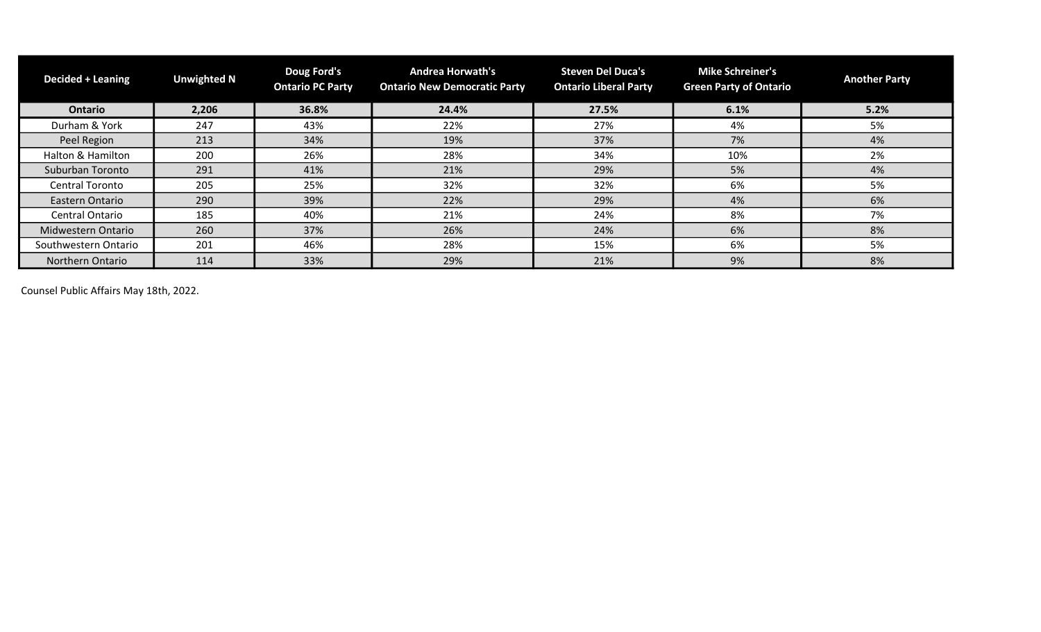| <b>Decided + Leaning</b> | <b>Unwighted N</b> | Doug Ford's<br><b>Ontario PC Party</b> | <b>Andrea Horwath's</b><br><b>Ontario New Democratic Party</b> | <b>Steven Del Duca's</b><br><b>Ontario Liberal Party</b> | <b>Mike Schreiner's</b><br><b>Green Party of Ontario</b> | <b>Another Party</b> |
|--------------------------|--------------------|----------------------------------------|----------------------------------------------------------------|----------------------------------------------------------|----------------------------------------------------------|----------------------|
| <b>Ontario</b>           | 2,206              | 36.8%                                  | 24.4%                                                          | 27.5%                                                    | 6.1%                                                     | 5.2%                 |
| Durham & York            | 247                | 43%                                    | 22%                                                            | 27%                                                      | 4%                                                       | 5%                   |
| Peel Region              | 213                | 34%                                    | 19%                                                            | 37%                                                      | 7%                                                       | 4%                   |
| Halton & Hamilton        | 200                | 26%                                    | 28%                                                            | 34%                                                      | 10%                                                      | 2%                   |
| Suburban Toronto         | 291                | 41%                                    | 21%                                                            | 29%                                                      | 5%                                                       | 4%                   |
| <b>Central Toronto</b>   | 205                | 25%                                    | 32%                                                            | 32%                                                      | 6%                                                       | 5%                   |
| Eastern Ontario          | 290                | 39%                                    | 22%                                                            | 29%                                                      | 4%                                                       | 6%                   |
| <b>Central Ontario</b>   | 185                | 40%                                    | 21%                                                            | 24%                                                      | 8%                                                       | 7%                   |
| Midwestern Ontario       | 260                | 37%                                    | 26%                                                            | 24%                                                      | 6%                                                       | 8%                   |
| Southwestern Ontario     | 201                | 46%                                    | 28%                                                            | 15%                                                      | 6%                                                       | 5%                   |
| Northern Ontario         | 114                | 33%                                    | 29%                                                            | 21%                                                      | 9%                                                       | 8%                   |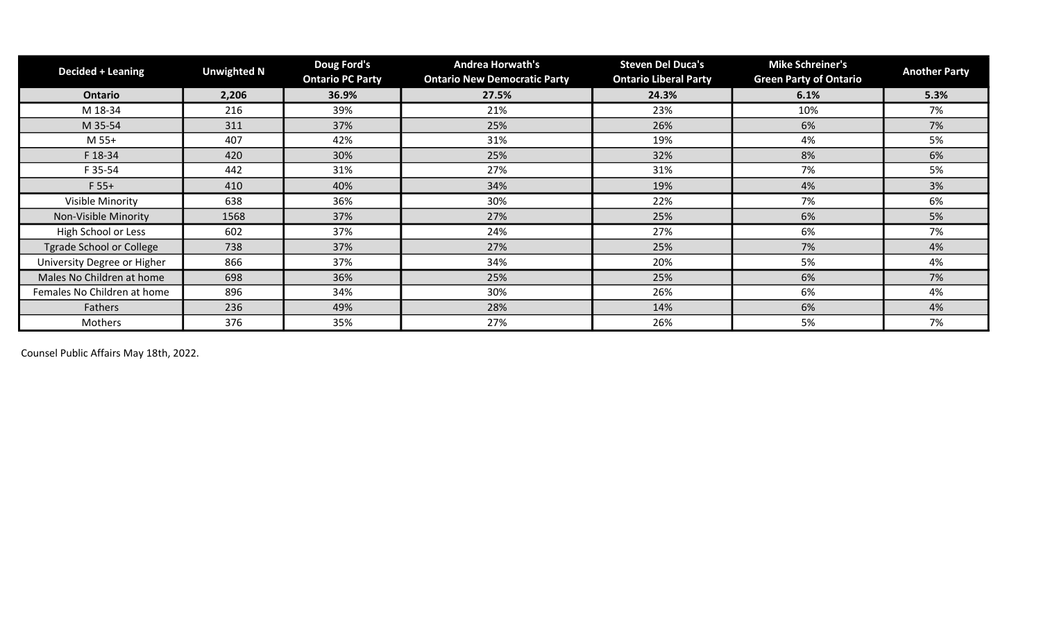| <b>Decided + Leaning</b>        | <b>Unwighted N</b> | Doug Ford's<br><b>Ontario PC Party</b> | <b>Andrea Horwath's</b><br><b>Ontario New Democratic Party</b> | <b>Steven Del Duca's</b><br><b>Ontario Liberal Party</b> | <b>Mike Schreiner's</b><br><b>Green Party of Ontario</b> | <b>Another Party</b> |
|---------------------------------|--------------------|----------------------------------------|----------------------------------------------------------------|----------------------------------------------------------|----------------------------------------------------------|----------------------|
| Ontario                         | 2,206              | 36.9%                                  | 27.5%                                                          | 24.3%                                                    | 6.1%                                                     | 5.3%                 |
| M 18-34                         | 216                | 39%                                    | 21%                                                            | 23%                                                      | 10%                                                      | 7%                   |
| M 35-54                         | 311                | 37%                                    | 25%                                                            | 26%                                                      | 6%                                                       | 7%                   |
| M 55+                           | 407                | 42%                                    | 31%                                                            | 19%                                                      | 4%                                                       | 5%                   |
| F 18-34                         | 420                | 30%                                    | 25%                                                            | 32%                                                      | 8%                                                       | 6%                   |
| F 35-54                         | 442                | 31%                                    | 27%                                                            | 31%                                                      | 7%                                                       | 5%                   |
| $F 55+$                         | 410                | 40%                                    | 34%                                                            | 19%                                                      | 4%                                                       | 3%                   |
| Visible Minority                | 638                | 36%                                    | 30%                                                            | 22%                                                      | 7%                                                       | 6%                   |
| Non-Visible Minority            | 1568               | 37%                                    | 27%                                                            | 25%                                                      | 6%                                                       | 5%                   |
| High School or Less             | 602                | 37%                                    | 24%                                                            | 27%                                                      | 6%                                                       | 7%                   |
| <b>Tgrade School or College</b> | 738                | 37%                                    | 27%                                                            | 25%                                                      | 7%                                                       | 4%                   |
| University Degree or Higher     | 866                | 37%                                    | 34%                                                            | 20%                                                      | 5%                                                       | 4%                   |
| Males No Children at home       | 698                | 36%                                    | 25%                                                            | 25%                                                      | 6%                                                       | 7%                   |
| Females No Children at home     | 896                | 34%                                    | 30%                                                            | 26%                                                      | 6%                                                       | 4%                   |
| Fathers                         | 236                | 49%                                    | 28%                                                            | 14%                                                      | 6%                                                       | 4%                   |
| Mothers                         | 376                | 35%                                    | 27%                                                            | 26%                                                      | 5%                                                       | 7%                   |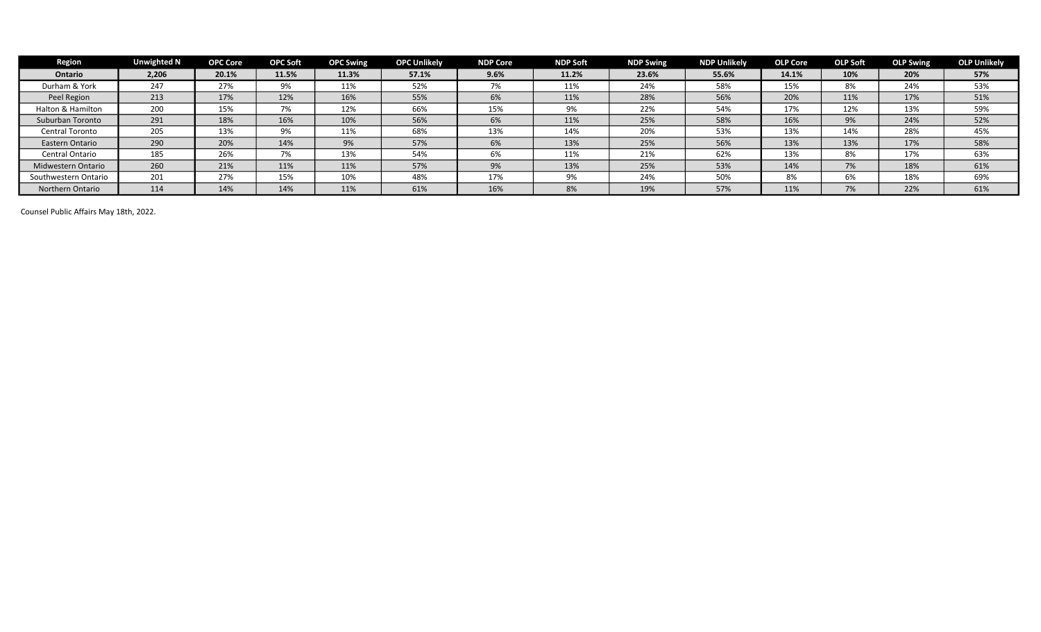| <b>Region</b>        | <b>Unwighted N</b> | <b>OPC Core</b> | <b>OPC Soft</b> | <b>OPC Swing</b> | <b>OPC Unlikely</b> | <b>NDP Core</b> | <b>NDP Soft</b> | <b>NDP Swing</b> | <b>NDP Unlikely</b> | <b>OLP Core</b> | <b>OLP Soft</b> | <b>OLP Swing</b> | <b>OLP Unlikely</b> |
|----------------------|--------------------|-----------------|-----------------|------------------|---------------------|-----------------|-----------------|------------------|---------------------|-----------------|-----------------|------------------|---------------------|
| <b>Ontario</b>       | 2,206              | 20.1%           | 11.5%           | 11.3%            | 57.1%               | 9.6%            | 11.2%           | 23.6%            | 55.6%               | 14.1%           | 10%             | 20%              | 57%                 |
| Durham & York        | 247                | 27%             | 9%              | 11%              | 52%                 | 7%              | 11%             | 24%              | 58%                 | 15%             | 8%              | 24%              | 53%                 |
| Peel Region          | 213                | 17%             | 12%             | 16%              | 55%                 | 6%              | 11%             | 28%              | 56%                 | 20%             | 11%             | 17%              | 51%                 |
| Halton & Hamilton    | 200                | 15%             | 7%              | 12%              | 66%                 | 15%             | 9%              | 22%              | 54%                 | 17%             | 12%             | 13%              | 59%                 |
| Suburban Toronto     | 291                | 18%             | 16%             | 10%              | 56%                 | 6%              | 11%             | 25%              | 58%                 | 16%             | 9%              | 24%              | 52%                 |
| Central Toronto      | 205                | 13%             | 9%              | 11%              | 68%                 | 13%             | 14%             | 20%              | 53%                 | 13%             | 14%             | 28%              | 45%                 |
| Eastern Ontario      | 290                | 20%             | 14%             | 9%               | 57%                 | 6%              | 13%             | 25%              | 56%                 | 13%             | 13%             | 17%              | 58%                 |
| Central Ontario      | 185                | 26%             | 7%              | 13%              | 54%                 | 6%              | 11%             | 21%              | 62%                 | 13%             | 8%              | 17%              | 63%                 |
| Midwestern Ontario   | 260                | 21%             | 11%             | 11%              | 57%                 | 9%              | 13%             | 25%              | 53%                 | 14%             | 7%              | 18%              | 61%                 |
| Southwestern Ontario | 201                | 27%             | 15%             | 10%              | 48%                 | 17%             | 9%              | 24%              | 50%                 | 8%              | 6%              | 18%              | 69%                 |
| Northern Ontario     | 114                | 14%             | 14%             | 11%              | 61%                 | 16%             | 8%              | 19%              | 57%                 | 11%             | 7%              | 22%              | 61%                 |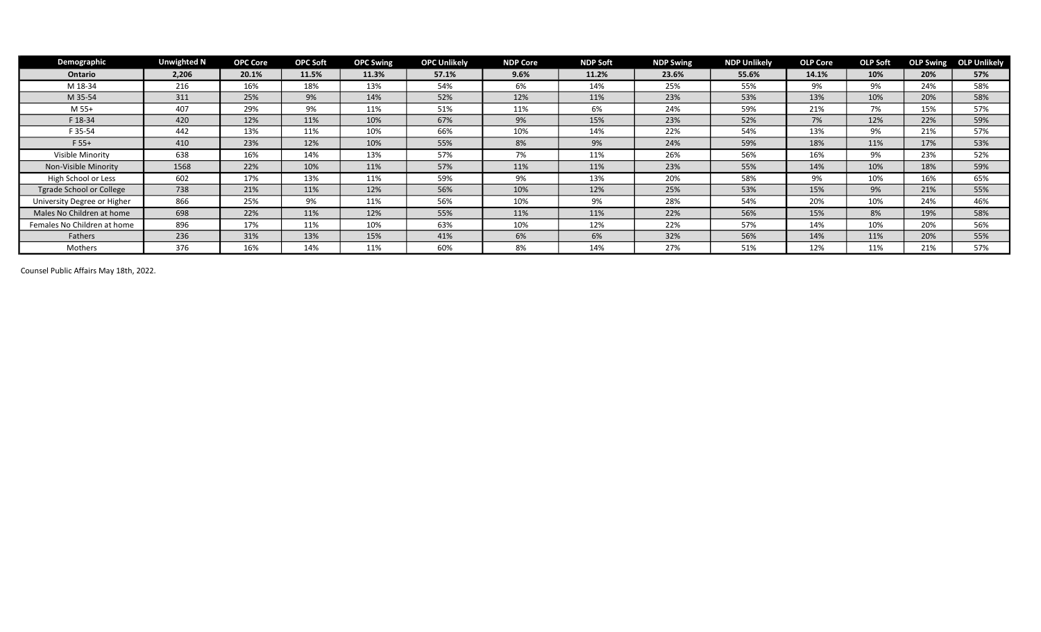| Demographic                 | <b>Unwighted N</b> | <b>OPC Core</b> | <b>OPC Soft</b> | <b>OPC Swing</b> | <b>OPC Unlikely</b> | <b>NDP Core</b> | <b>NDP Soft</b> | <b>NDP Swing</b> | <b>NDP Unlikely</b> | <b>OLP Core</b> | <b>OLP Soft</b> |     | <b>OLP Swing OLP Unlikely</b> |
|-----------------------------|--------------------|-----------------|-----------------|------------------|---------------------|-----------------|-----------------|------------------|---------------------|-----------------|-----------------|-----|-------------------------------|
| Ontario                     | 2,206              | 20.1%           | 11.5%           | 11.3%            | 57.1%               | 9.6%            | 11.2%           | 23.6%            | 55.6%               | 14.1%           | 10%             | 20% | 57%                           |
| M 18-34                     | 216                | 16%             | 18%             | 13%              | 54%                 | 6%              | 14%             | 25%              | 55%                 | 9%              | 9%              | 24% | 58%                           |
| M 35-54                     | 311                | 25%             | 9%              | 14%              | 52%                 | 12%             | 11%             | 23%              | 53%                 | 13%             | 10%             | 20% | 58%                           |
| M 55+                       | 407                | 29%             | 9%              | 11%              | 51%                 | 11%             | 6%              | 24%              | 59%                 | 21%             | 7%              | 15% | 57%                           |
| F 18-34                     | 420                | 12%             | 11%             | 10%              | 67%                 | 9%              | 15%             | 23%              | 52%                 | 7%              | 12%             | 22% | 59%                           |
| F 35-54                     | 442                | 13%             | 11%             | 10%              | 66%                 | 10%             | 14%             | 22%              | 54%                 | 13%             | 9%              | 21% | 57%                           |
| $F 55+$                     | 410                | 23%             | 12%             | 10%              | 55%                 | 8%              | 9%              | 24%              | 59%                 | 18%             | 11%             | 17% | 53%                           |
| Visible Minority            | 638                | 16%             | 14%             | 13%              | 57%                 | 7%              | 11%             | 26%              | 56%                 | 16%             | 9%              | 23% | 52%                           |
| Non-Visible Minority        | 1568               | 22%             | 10%             | 11%              | 57%                 | 11%             | 11%             | 23%              | 55%                 | 14%             | 10%             | 18% | 59%                           |
| High School or Less         | 602                | 17%             | 13%             | 11%              | 59%                 | 9%              | 13%             | 20%              | 58%                 | 9%              | 10%             | 16% | 65%                           |
| Tgrade School or College    | 738                | 21%             | 11%             | 12%              | 56%                 | 10%             | 12%             | 25%              | 53%                 | 15%             | 9%              | 21% | 55%                           |
| University Degree or Higher | 866                | 25%             | 9%              | 11%              | 56%                 | 10%             | 9%              | 28%              | 54%                 | 20%             | 10%             | 24% | 46%                           |
| Males No Children at home   | 698                | 22%             | 11%             | 12%              | 55%                 | 11%             | 11%             | 22%              | 56%                 | 15%             | 8%              | 19% | 58%                           |
| Females No Children at home | 896                | 17%             | 11%             | 10%              | 63%                 | 10%             | 12%             | 22%              | 57%                 | 14%             | 10%             | 20% | 56%                           |
| Fathers                     | 236                | 31%             | 13%             | 15%              | 41%                 | 6%              | 6%              | 32%              | 56%                 | 14%             | 11%             | 20% | 55%                           |
| Mothers                     | 376                | 16%             | 14%             | 11%              | 60%                 | 8%              | 14%             | 27%              | 51%                 | 12%             | 11%             | 21% | 57%                           |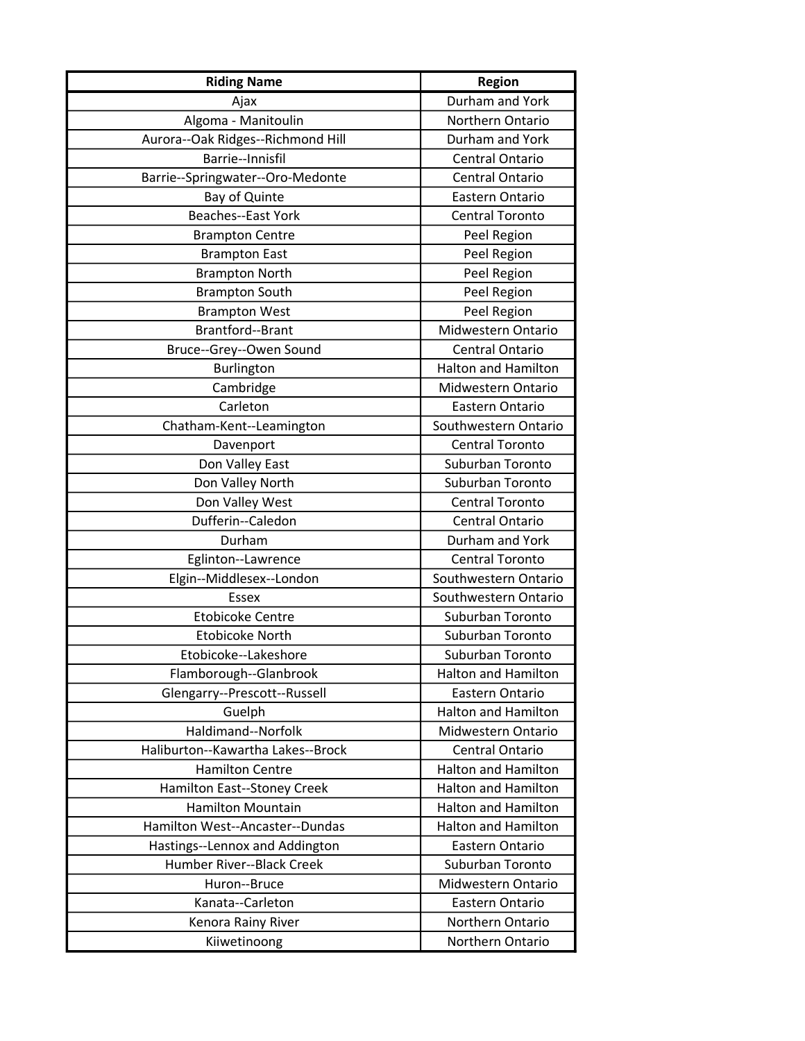| <b>Riding Name</b>                | <b>Region</b>              |
|-----------------------------------|----------------------------|
| Ajax                              | Durham and York            |
| Algoma - Manitoulin               | Northern Ontario           |
| Aurora--Oak Ridges--Richmond Hill | Durham and York            |
| Barrie--Innisfil                  | <b>Central Ontario</b>     |
| Barrie--Springwater--Oro-Medonte  | Central Ontario            |
| Bay of Quinte                     | Eastern Ontario            |
| <b>Beaches--East York</b>         | <b>Central Toronto</b>     |
| <b>Brampton Centre</b>            | Peel Region                |
| <b>Brampton East</b>              | Peel Region                |
| <b>Brampton North</b>             | Peel Region                |
| <b>Brampton South</b>             | Peel Region                |
| <b>Brampton West</b>              | Peel Region                |
| Brantford--Brant                  | Midwestern Ontario         |
| Bruce--Grey--Owen Sound           | <b>Central Ontario</b>     |
| Burlington                        | <b>Halton and Hamilton</b> |
| Cambridge                         | Midwestern Ontario         |
| Carleton                          | Eastern Ontario            |
| Chatham-Kent--Leamington          | Southwestern Ontario       |
| Davenport                         | <b>Central Toronto</b>     |
| Don Valley East                   | Suburban Toronto           |
| Don Valley North                  | Suburban Toronto           |
| Don Valley West                   | <b>Central Toronto</b>     |
| Dufferin--Caledon                 | Central Ontario            |
| Durham                            | Durham and York            |
| Eglinton--Lawrence                | <b>Central Toronto</b>     |
| Elgin--Middlesex--London          | Southwestern Ontario       |
| <b>Essex</b>                      | Southwestern Ontario       |
| <b>Etobicoke Centre</b>           | Suburban Toronto           |
| <b>Etobicoke North</b>            | Suburban Toronto           |
| Etobicoke--Lakeshore              | Suburban Toronto           |
| Flamborough--Glanbrook            | <b>Halton and Hamilton</b> |
| Glengarry--Prescott--Russell      | Eastern Ontario            |
| Guelph                            | <b>Halton and Hamilton</b> |
| Haldimand--Norfolk                | Midwestern Ontario         |
| Haliburton--Kawartha Lakes--Brock | <b>Central Ontario</b>     |
| <b>Hamilton Centre</b>            | <b>Halton and Hamilton</b> |
| Hamilton East--Stoney Creek       | <b>Halton and Hamilton</b> |
| <b>Hamilton Mountain</b>          | <b>Halton and Hamilton</b> |
| Hamilton West--Ancaster--Dundas   | <b>Halton and Hamilton</b> |
| Hastings--Lennox and Addington    | Eastern Ontario            |
| Humber River--Black Creek         | Suburban Toronto           |
| Huron--Bruce                      | Midwestern Ontario         |
| Kanata--Carleton                  | Eastern Ontario            |
| Kenora Rainy River                | Northern Ontario           |
| Kiiwetinoong                      | Northern Ontario           |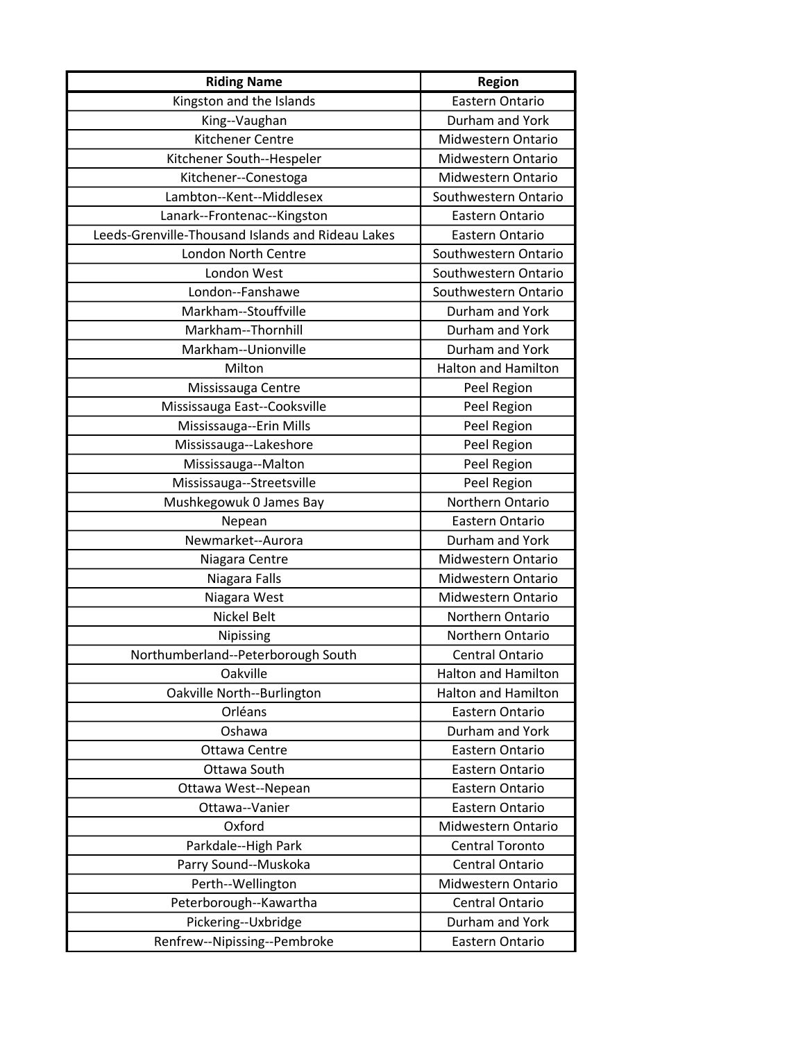| <b>Riding Name</b>                                | <b>Region</b>              |
|---------------------------------------------------|----------------------------|
| Kingston and the Islands                          | Eastern Ontario            |
| King--Vaughan                                     | Durham and York            |
| <b>Kitchener Centre</b>                           | Midwestern Ontario         |
| Kitchener South--Hespeler                         | Midwestern Ontario         |
| Kitchener--Conestoga                              | Midwestern Ontario         |
| Lambton--Kent--Middlesex                          | Southwestern Ontario       |
| Lanark--Frontenac--Kingston                       | Eastern Ontario            |
| Leeds-Grenville-Thousand Islands and Rideau Lakes | Eastern Ontario            |
| <b>London North Centre</b>                        | Southwestern Ontario       |
| London West                                       | Southwestern Ontario       |
| London--Fanshawe                                  | Southwestern Ontario       |
| Markham--Stouffville                              | Durham and York            |
| Markham--Thornhill                                | Durham and York            |
| Markham--Unionville                               | Durham and York            |
| Milton                                            | <b>Halton and Hamilton</b> |
| Mississauga Centre                                | Peel Region                |
| Mississauga East--Cooksville                      | Peel Region                |
| Mississauga--Erin Mills                           | Peel Region                |
| Mississauga--Lakeshore                            | Peel Region                |
| Mississauga--Malton                               | Peel Region                |
| Mississauga--Streetsville                         | Peel Region                |
| Mushkegowuk 0 James Bay                           | Northern Ontario           |
| Nepean                                            | Eastern Ontario            |
| Newmarket--Aurora                                 | Durham and York            |
| Niagara Centre                                    | Midwestern Ontario         |
| Niagara Falls                                     | Midwestern Ontario         |
| Niagara West                                      | Midwestern Ontario         |
| <b>Nickel Belt</b>                                | Northern Ontario           |
| <b>Nipissing</b>                                  | Northern Ontario           |
| Northumberland--Peterborough South                | Central Ontario            |
| Oakville                                          | <b>Halton and Hamilton</b> |
| Oakville North--Burlington                        | <b>Halton and Hamilton</b> |
| Orléans                                           | Eastern Ontario            |
| Oshawa                                            | Durham and York            |
| Ottawa Centre                                     | Eastern Ontario            |
| Ottawa South                                      | Eastern Ontario            |
| Ottawa West--Nepean                               | Eastern Ontario            |
| Ottawa--Vanier                                    | Eastern Ontario            |
| Oxford                                            | Midwestern Ontario         |
| Parkdale--High Park                               | <b>Central Toronto</b>     |
| Parry Sound--Muskoka                              | Central Ontario            |
| Perth--Wellington                                 | Midwestern Ontario         |
| Peterborough--Kawartha                            | <b>Central Ontario</b>     |
| Pickering--Uxbridge                               | Durham and York            |
| Renfrew--Nipissing--Pembroke                      | Eastern Ontario            |